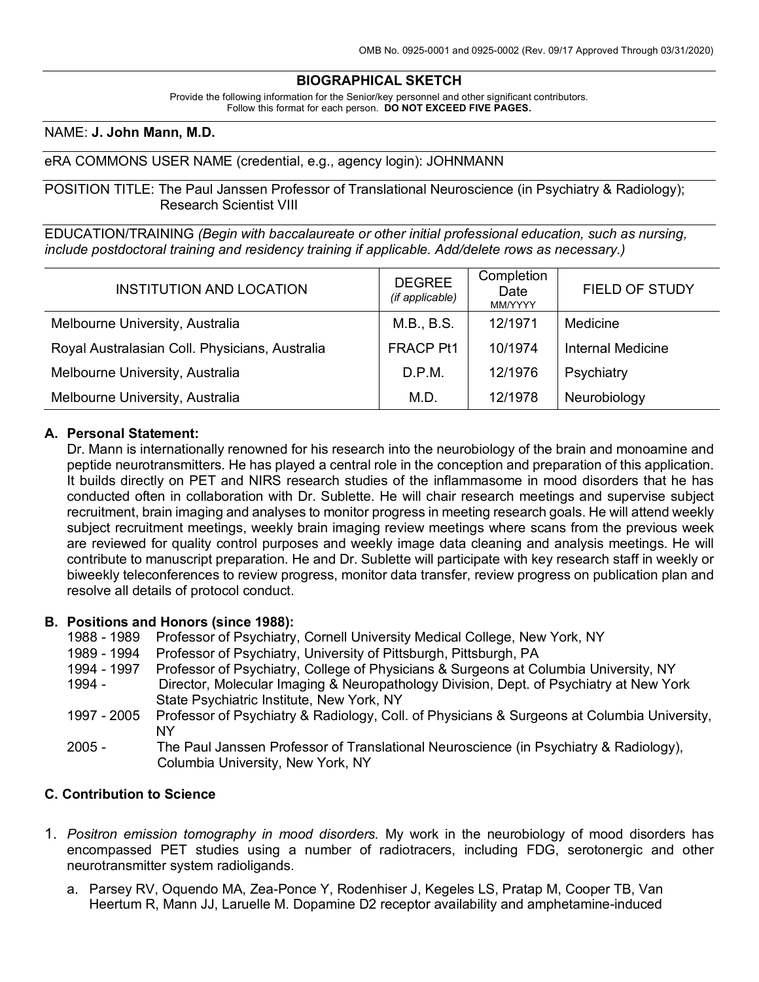## **BIOGRAPHICAL SKETCH**

Provide the following information for the Senior/key personnel and other significant contributors. Follow this format for each person. **DO NOT EXCEED FIVE PAGES.**

### NAME: **J. John Mann, M.D.**

### eRA COMMONS USER NAME (credential, e.g., agency login): JOHNMANN

POSITION TITLE: The Paul Janssen Professor of Translational Neuroscience (in Psychiatry & Radiology); Research Scientist VIII

EDUCATION/TRAINING *(Begin with baccalaureate or other initial professional education, such as nursing, include postdoctoral training and residency training if applicable. Add/delete rows as necessary.)*

| <b>INSTITUTION AND LOCATION</b>                | <b>DEGREE</b><br>(if applicable) | Completion<br>Date<br><b>MM/YYYY</b> | <b>FIELD OF STUDY</b>    |
|------------------------------------------------|----------------------------------|--------------------------------------|--------------------------|
| Melbourne University, Australia                | M.B., B.S.                       | 12/1971                              | Medicine                 |
| Royal Australasian Coll. Physicians, Australia | <b>FRACP Pt1</b>                 | 10/1974                              | <b>Internal Medicine</b> |
| Melbourne University, Australia                | D.P.M.                           | 12/1976                              | Psychiatry               |
| Melbourne University, Australia                | M.D.                             | 12/1978                              | Neurobiology             |

### **A. Personal Statement:**

Dr. Mann is internationally renowned for his research into the neurobiology of the brain and monoamine and peptide neurotransmitters. He has played a central role in the conception and preparation of this application. It builds directly on PET and NIRS research studies of the inflammasome in mood disorders that he has conducted often in collaboration with Dr. Sublette. He will chair research meetings and supervise subject recruitment, brain imaging and analyses to monitor progress in meeting research goals. He will attend weekly subject recruitment meetings, weekly brain imaging review meetings where scans from the previous week are reviewed for quality control purposes and weekly image data cleaning and analysis meetings. He will contribute to manuscript preparation. He and Dr. Sublette will participate with key research staff in weekly or biweekly teleconferences to review progress, monitor data transfer, review progress on publication plan and resolve all details of protocol conduct.

### **B. Positions and Honors (since 1988):**

- 1988 1989 Professor of Psychiatry, Cornell University Medical College, New York, NY
- 1989 1994 Professor of Psychiatry, University of Pittsburgh, Pittsburgh, PA
- 1994 1997 Professor of Psychiatry, College of Physicians & Surgeons at Columbia University, NY
- 1994 Director, Molecular Imaging & Neuropathology Division, Dept. of Psychiatry at New York State Psychiatric Institute, New York, NY
- 1997 2005 Professor of Psychiatry & Radiology, Coll. of Physicians & Surgeons at Columbia University, NY
- 2005 The Paul Janssen Professor of Translational Neuroscience (in Psychiatry & Radiology), Columbia University, New York, NY

### **C. Contribution to Science**

- 1. *Positron emission tomography in mood disorders.* My work in the neurobiology of mood disorders has encompassed PET studies using a number of radiotracers, including FDG, serotonergic and other neurotransmitter system radioligands.
	- a. Parsey RV, Oquendo MA, Zea-Ponce Y, Rodenhiser J, Kegeles LS, Pratap M, Cooper TB, Van Heertum R, Mann JJ, Laruelle M. Dopamine D2 receptor availability and amphetamine-induced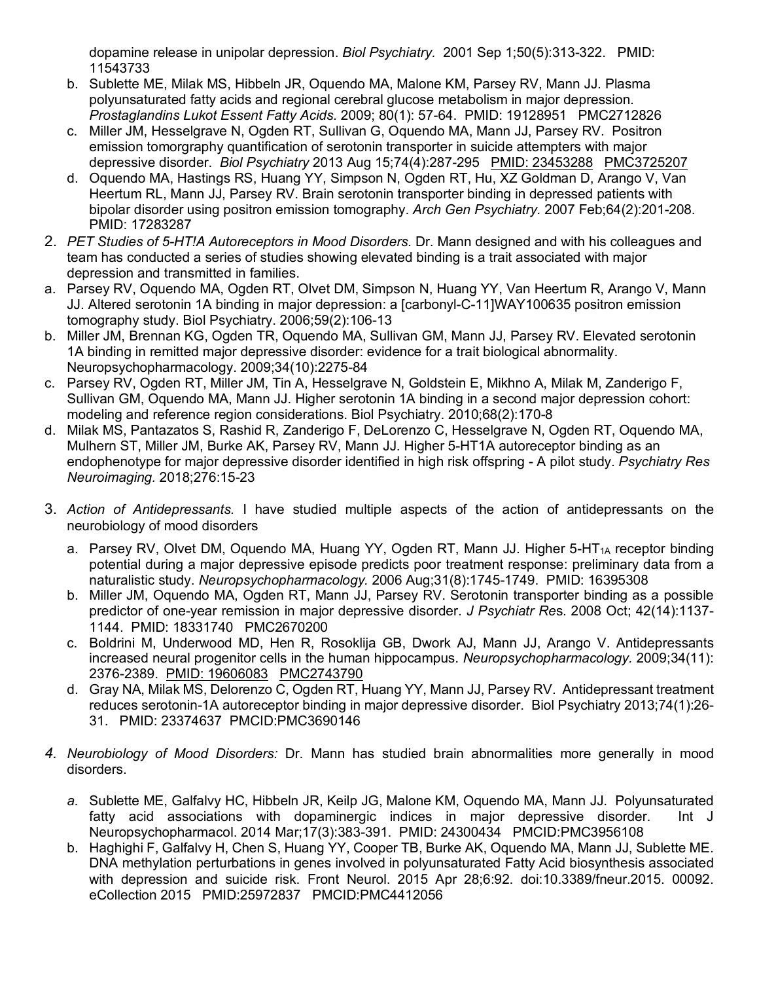dopamine release in unipolar depression. *Biol Psychiatry.* 2001 Sep 1;50(5):313-322. PMID: 11543733

- b. Sublette ME, Milak MS, Hibbeln JR, Oquendo MA, Malone KM, Parsey RV, Mann JJ. Plasma polyunsaturated fatty acids and regional cerebral glucose metabolism in major depression. *Prostaglandins Lukot Essent Fatty Acids.* 2009; 80(1): 57-64. PMID: 19128951 PMC2712826
- c. Miller JM, Hesselgrave N, Ogden RT, Sullivan G, Oquendo MA, Mann JJ, Parsey RV. Positron emission tomorgraphy quantification of serotonin transporter in suicide attempters with major depressive disorder. *Biol Psychiatry* 2013 Aug 15;74(4):287-295 PMID: 23453288 PMC3725207
- d. Oquendo MA, Hastings RS, Huang YY, Simpson N, Ogden RT, Hu, XZ Goldman D, Arango V, Van Heertum RL, Mann JJ, Parsey RV. Brain serotonin transporter binding in depressed patients with bipolar disorder using positron emission tomography. *Arch Gen Psychiatry.* 2007 Feb;64(2):201-208. PMID: 17283287
- 2. *PET Studies of 5-HT!A Autoreceptors in Mood Disorders.* Dr. Mann designed and with his colleagues and team has conducted a series of studies showing elevated binding is a trait associated with major depression and transmitted in families.
- a. Parsey RV, Oquendo MA, Ogden RT, Olvet DM, Simpson N, Huang YY, Van Heertum R, Arango V, Mann JJ. Altered serotonin 1A binding in major depression: a [carbonyl-C-11]WAY100635 positron emission tomography study. Biol Psychiatry. 2006;59(2):106-13
- b. Miller JM, Brennan KG, Ogden TR, Oquendo MA, Sullivan GM, Mann JJ, Parsey RV. Elevated serotonin 1A binding in remitted major depressive disorder: evidence for a trait biological abnormality. Neuropsychopharmacology. 2009;34(10):2275-84
- c. Parsey RV, Ogden RT, Miller JM, Tin A, Hesselgrave N, Goldstein E, Mikhno A, Milak M, Zanderigo F, Sullivan GM, Oquendo MA, Mann JJ. Higher serotonin 1A binding in a second major depression cohort: modeling and reference region considerations. Biol Psychiatry. 2010;68(2):170-8
- d. Milak MS, Pantazatos S, Rashid R, Zanderigo F, DeLorenzo C, Hesselgrave N, Ogden RT, Oquendo MA, Mulhern ST, Miller JM, Burke AK, Parsey RV, Mann JJ. Higher 5-HT1A autoreceptor binding as an endophenotype for major depressive disorder identified in high risk offspring - A pilot study. *Psychiatry Res Neuroimaging.* 2018;276:15-23
- 3. *Action of Antidepressants.* I have studied multiple aspects of the action of antidepressants on the neurobiology of mood disorders
	- a. Parsey RV, Olvet DM, Oquendo MA, Huang YY, Ogden RT, Mann JJ. Higher 5-HT<sub>1A</sub> receptor binding potential during a major depressive episode predicts poor treatment response: preliminary data from a naturalistic study. *Neuropsychopharmacology.* 2006 Aug;31(8):1745-1749. PMID: 16395308
	- b. Miller JM, Oquendo MA, Ogden RT, Mann JJ, Parsey RV. Serotonin transporter binding as a possible predictor of one-year remission in major depressive disorder. *J Psychiatr Re*s. 2008 Oct; 42(14):1137- 1144. PMID: 18331740 PMC2670200
	- c. Boldrini M, Underwood MD, Hen R, Rosoklija GB, Dwork AJ, Mann JJ, Arango V. Antidepressants increased neural progenitor cells in the human hippocampus. *Neuropsychopharmacology.* 2009;34(11): 2376-2389. PMID: 19606083 PMC2743790
	- d. Gray NA, Milak MS, Delorenzo C, Ogden RT, Huang YY, Mann JJ, Parsey RV. Antidepressant treatment reduces serotonin-1A autoreceptor binding in major depressive disorder. Biol Psychiatry 2013;74(1):26- 31. PMID: 23374637 PMCID:PMC3690146
- *4. Neurobiology of Mood Disorders:* Dr. Mann has studied brain abnormalities more generally in mood disorders.
	- *a.* Sublette ME, Galfalvy HC, Hibbeln JR, Keilp JG, Malone KM, Oquendo MA, Mann JJ. Polyunsaturated fatty acid associations with dopaminergic indices in major depressive disorder. Int J Neuropsychopharmacol. 2014 Mar;17(3):383-391. PMID: 24300434 PMCID:PMC3956108
	- b. Haghighi F, Galfalvy H, Chen S, Huang YY, Cooper TB, Burke AK, Oquendo MA, Mann JJ, Sublette ME. DNA methylation perturbations in genes involved in polyunsaturated Fatty Acid biosynthesis associated with depression and suicide risk. Front Neurol. 2015 Apr 28;6:92. doi:10.3389/fneur.2015. 00092. eCollection 2015 PMID:25972837 PMCID:PMC4412056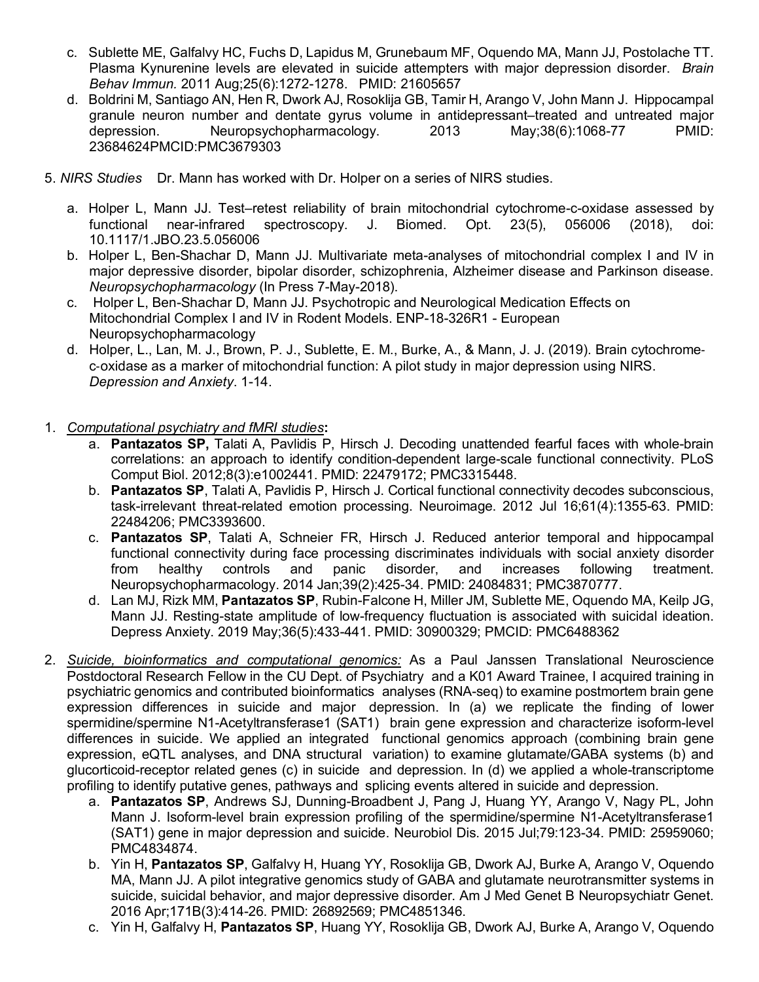- c. Sublette ME, Galfalvy HC, Fuchs D, Lapidus M, Grunebaum MF, Oquendo MA, Mann JJ, Postolache TT. Plasma Kynurenine levels are elevated in suicide attempters with major depression disorder. *Brain Behav Immun.* 2011 Aug;25(6):1272-1278. PMID: 21605657
- d. Boldrini M, Santiago AN, Hen R, Dwork AJ, Rosoklija GB, Tamir H, Arango V, John Mann J. Hippocampal granule neuron number and dentate gyrus volume in antidepressant–treated and untreated major depression. Neuropsychopharmacology. 2013 May;38(6):1068-77 PMID: 23684624PMCID:PMC3679303
- 5. *NIRS Studies* Dr. Mann has worked with Dr. Holper on a series of NIRS studies.
	- a. Holper L, Mann JJ. Test–retest reliability of brain mitochondrial cytochrome-c-oxidase assessed by<br>functional near-infrared spectroscopy. J. Biomed. Opt. 23(5), 056006 (2018). doi: functional near-infrared spectroscopy. J. Biomed. Opt. 23(5), 056006 (2018), doi: 10.1117/1.JBO.23.5.056006
	- b. Holper L, Ben-Shachar D, Mann JJ. Multivariate meta-analyses of mitochondrial complex I and IV in major depressive disorder, bipolar disorder, schizophrenia, Alzheimer disease and Parkinson disease. *Neuropsychopharmacology* (In Press 7-May-2018).
	- c. Holper L, Ben-Shachar D, Mann JJ. Psychotropic and Neurological Medication Effects on Mitochondrial Complex I and IV in Rodent Models. ENP-18-326R1 - European Neuropsychopharmacology
	- d. Holper, L., Lan, M. J., Brown, P. J., Sublette, E. M., Burke, A., & Mann, J. J. (2019). Brain cytochromec-oxidase as a marker of mitochondrial function: A pilot study in major depression using NIRS. *Depression and Anxiety*. 1-14.
- 1. *Computational psychiatry and fMRI studies***:**
	- a. **Pantazatos SP,** Talati A, Pavlidis P, Hirsch J. Decoding unattended fearful faces with whole-brain correlations: an approach to identify condition-dependent large-scale functional connectivity. PLoS Comput Biol. 2012;8(3):e1002441. PMID: 22479172; PMC3315448.
	- b. **Pantazatos SP**, Talati A, Pavlidis P, Hirsch J. Cortical functional connectivity decodes subconscious, task-irrelevant threat-related emotion processing. Neuroimage. 2012 Jul 16;61(4):1355-63. PMID: 22484206; PMC3393600.
	- c. **Pantazatos SP**, Talati A, Schneier FR, Hirsch J. Reduced anterior temporal and hippocampal functional connectivity during face processing discriminates individuals with social anxiety disorder from healthy controls and panic disorder, and increases following treatment. Neuropsychopharmacology. 2014 Jan;39(2):425-34. PMID: 24084831; PMC3870777.
	- d. Lan MJ, Rizk MM, **Pantazatos SP**, Rubin-Falcone H, Miller JM, Sublette ME, Oquendo MA, Keilp JG, Mann JJ. Resting-state amplitude of low-frequency fluctuation is associated with suicidal ideation. Depress Anxiety. 2019 May;36(5):433-441. PMID: 30900329; PMCID: PMC6488362
- 2. *Suicide, bioinformatics and computational genomics:* As a Paul Janssen Translational Neuroscience Postdoctoral Research Fellow in the CU Dept. of Psychiatry and a K01 Award Trainee, I acquired training in psychiatric genomics and contributed bioinformatics analyses (RNA-seq) to examine postmortem brain gene expression differences in suicide and major depression. In (a) we replicate the finding of lower spermidine/spermine N1-Acetyltransferase1 (SAT1) brain gene expression and characterize isoform-level differences in suicide. We applied an integrated functional genomics approach (combining brain gene expression, eQTL analyses, and DNA structural variation) to examine glutamate/GABA systems (b) and glucorticoid-receptor related genes (c) in suicide and depression. In (d) we applied a whole-transcriptome profiling to identify putative genes, pathways and splicing events altered in suicide and depression.
	- a. **Pantazatos SP**, Andrews SJ, Dunning-Broadbent J, Pang J, Huang YY, Arango V, Nagy PL, John Mann J. Isoform-level brain expression profiling of the spermidine/spermine N1-Acetyltransferase1 (SAT1) gene in major depression and suicide. Neurobiol Dis. 2015 Jul;79:123-34. PMID: 25959060; PMC4834874.
	- b. Yin H, **Pantazatos SP**, Galfalvy H, Huang YY, Rosoklija GB, Dwork AJ, Burke A, Arango V, Oquendo MA, Mann JJ. A pilot integrative genomics study of GABA and glutamate neurotransmitter systems in suicide, suicidal behavior, and major depressive disorder. Am J Med Genet B Neuropsychiatr Genet. 2016 Apr;171B(3):414-26. PMID: 26892569; PMC4851346.
	- c. Yin H, Galfalvy H, **Pantazatos SP**, Huang YY, Rosoklija GB, Dwork AJ, Burke A, Arango V, Oquendo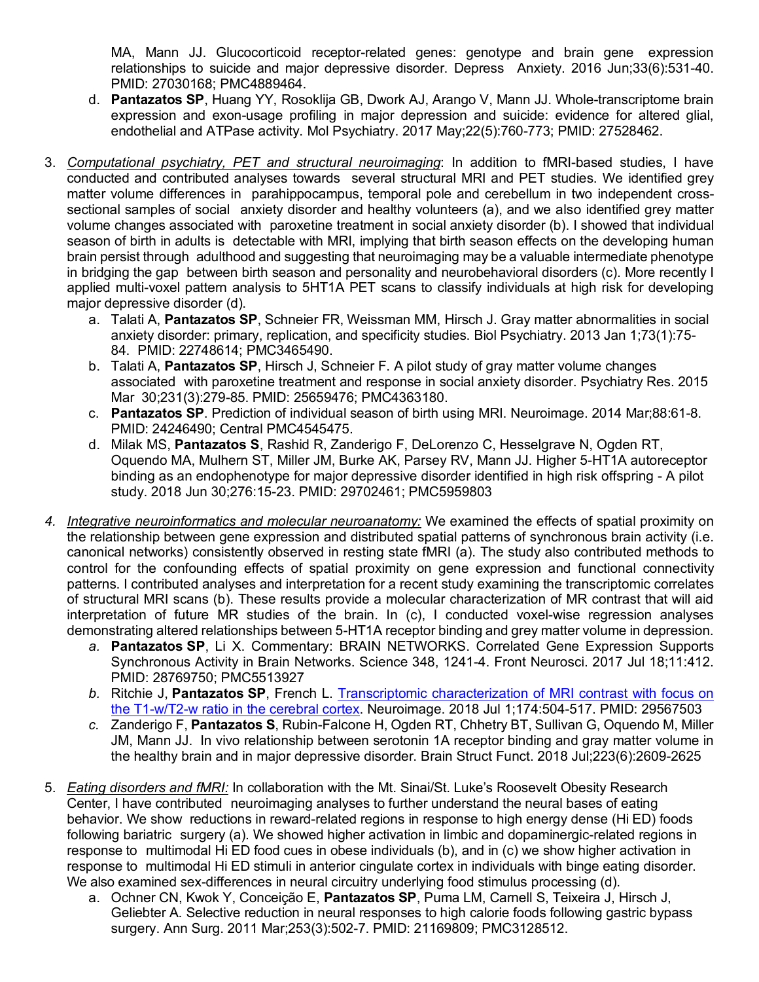MA, Mann JJ. Glucocorticoid receptor-related genes: genotype and brain gene expression relationships to suicide and major depressive disorder. Depress Anxiety. 2016 Jun;33(6):531-40. PMID: 27030168; PMC4889464.

- d. **Pantazatos SP**, Huang YY, Rosoklija GB, Dwork AJ, Arango V, Mann JJ. Whole-transcriptome brain expression and exon-usage profiling in major depression and suicide: evidence for altered glial, endothelial and ATPase activity. Mol Psychiatry. 2017 May;22(5):760-773; PMID: 27528462.
- 3. *Computational psychiatry, PET and structural neuroimaging*: In addition to fMRI-based studies, I have conducted and contributed analyses towards several structural MRI and PET studies. We identified grey matter volume differences in parahippocampus, temporal pole and cerebellum in two independent crosssectional samples of social anxiety disorder and healthy volunteers (a), and we also identified grey matter volume changes associated with paroxetine treatment in social anxiety disorder (b). I showed that individual season of birth in adults is detectable with MRI, implying that birth season effects on the developing human brain persist through adulthood and suggesting that neuroimaging may be a valuable intermediate phenotype in bridging the gap between birth season and personality and neurobehavioral disorders (c). More recently I applied multi-voxel pattern analysis to 5HT1A PET scans to classify individuals at high risk for developing major depressive disorder (d).
	- a. Talati A, **Pantazatos SP**, Schneier FR, Weissman MM, Hirsch J. Gray matter abnormalities in social anxiety disorder: primary, replication, and specificity studies. Biol Psychiatry. 2013 Jan 1;73(1):75- 84. PMID: 22748614; PMC3465490.
	- b. Talati A, **Pantazatos SP**, Hirsch J, Schneier F. A pilot study of gray matter volume changes associated with paroxetine treatment and response in social anxiety disorder. Psychiatry Res. 2015 Mar 30;231(3):279-85. PMID: 25659476; PMC4363180.
	- c. **Pantazatos SP**. Prediction of individual season of birth using MRI. Neuroimage. 2014 Mar;88:61-8. PMID: 24246490; Central PMC4545475.
	- d. Milak MS, **Pantazatos S**, Rashid R, Zanderigo F, DeLorenzo C, Hesselgrave N, Ogden RT, Oquendo MA, Mulhern ST, Miller JM, Burke AK, Parsey RV, Mann JJ. Higher 5-HT1A autoreceptor binding as an endophenotype for major depressive disorder identified in high risk offspring - A pilot study. 2018 Jun 30;276:15-23. PMID: 29702461; PMC5959803
- *4. Integrative neuroinformatics and molecular neuroanatomy:* We examined the effects of spatial proximity on the relationship between gene expression and distributed spatial patterns of synchronous brain activity (i.e. canonical networks) consistently observed in resting state fMRI (a). The study also contributed methods to control for the confounding effects of spatial proximity on gene expression and functional connectivity patterns. I contributed analyses and interpretation for a recent study examining the transcriptomic correlates of structural MRI scans (b). These results provide a molecular characterization of MR contrast that will aid interpretation of future MR studies of the brain. In (c), I conducted voxel-wise regression analyses demonstrating altered relationships between 5-HT1A receptor binding and grey matter volume in depression.
	- *a.* **Pantazatos SP**, Li X. Commentary: BRAIN NETWORKS. Correlated Gene Expression Supports Synchronous Activity in Brain Networks. Science 348, 1241-4. Front Neurosci. 2017 Jul 18;11:412. PMID: 28769750; PMC5513927
	- *b.* Ritchie J, **Pantazatos SP**, French L. Transcriptomic characterization of MRI contrast with focus on the T1-w/T2-w ratio in the cerebral cortex. Neuroimage. 2018 Jul 1;174:504-517. PMID: 29567503
	- *c.* Zanderigo F, **Pantazatos S**, Rubin-Falcone H, Ogden RT, Chhetry BT, Sullivan G, Oquendo M, Miller JM, Mann JJ. In vivo relationship between serotonin 1A receptor binding and gray matter volume in the healthy brain and in major depressive disorder. Brain Struct Funct. 2018 Jul;223(6):2609-2625
- 5. *Eating disorders and fMRI:* In collaboration with the Mt. Sinai/St. Luke's Roosevelt Obesity Research Center, I have contributed neuroimaging analyses to further understand the neural bases of eating behavior. We show reductions in reward-related regions in response to high energy dense (Hi ED) foods following bariatric surgery (a). We showed higher activation in limbic and dopaminergic-related regions in response to multimodal Hi ED food cues in obese individuals (b), and in (c) we show higher activation in response to multimodal Hi ED stimuli in anterior cingulate cortex in individuals with binge eating disorder. We also examined sex-differences in neural circuitry underlying food stimulus processing (d).
	- a. Ochner CN, Kwok Y, Conceição E, **Pantazatos SP**, Puma LM, Carnell S, Teixeira J, Hirsch J, Geliebter A. Selective reduction in neural responses to high calorie foods following gastric bypass surgery. Ann Surg. 2011 Mar;253(3):502-7. PMID: 21169809; PMC3128512.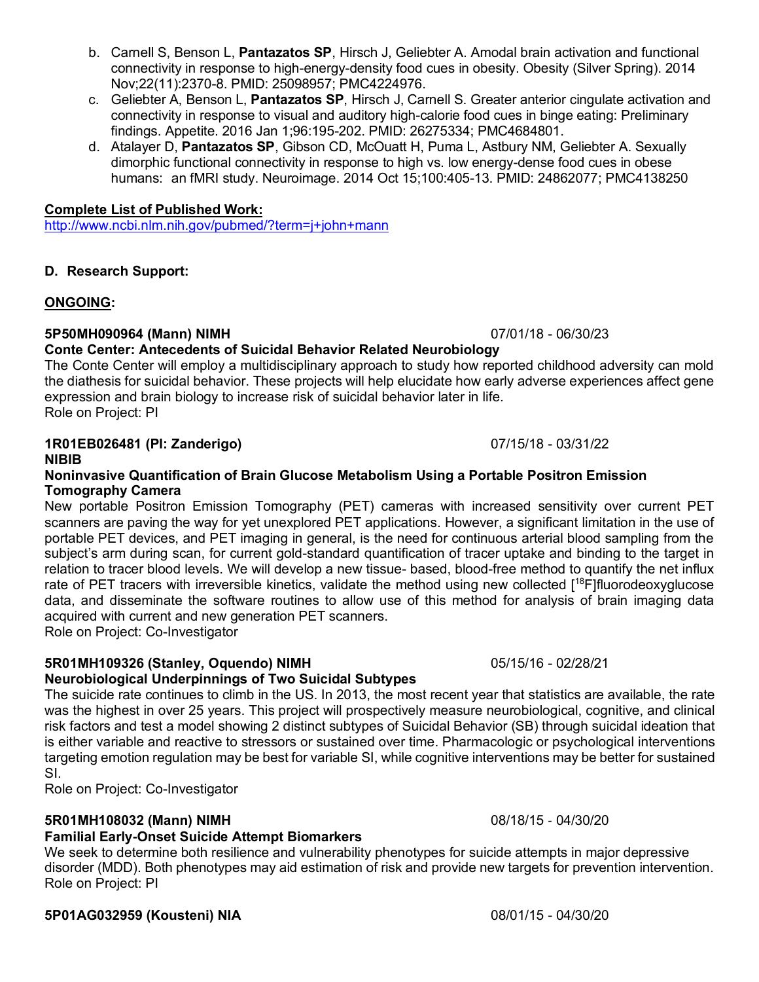- b. Carnell S, Benson L, **Pantazatos SP**, Hirsch J, Geliebter A. Amodal brain activation and functional connectivity in response to high-energy-density food cues in obesity. Obesity (Silver Spring). 2014 Nov;22(11):2370-8. PMID: 25098957; PMC4224976.
- c. Geliebter A, Benson L, **Pantazatos SP**, Hirsch J, Carnell S. Greater anterior cingulate activation and connectivity in response to visual and auditory high-calorie food cues in binge eating: Preliminary findings. Appetite. 2016 Jan 1;96:195-202. PMID: 26275334; PMC4684801.
- d. Atalayer D, **Pantazatos SP**, Gibson CD, McOuatt H, Puma L, Astbury NM, Geliebter A. Sexually dimorphic functional connectivity in response to high vs. low energy-dense food cues in obese humans: an fMRI study. Neuroimage. 2014 Oct 15;100:405-13. PMID: 24862077; PMC4138250

### **Complete List of Published Work:**

http://www.ncbi.nlm.nih.gov/pubmed/?term=j+john+mann

## **D. Research Support:**

## **ONGOING:**

## **5P50MH090964 (Mann) NIMH** 07/01/18 - 06/30/23

## **Conte Center: Antecedents of Suicidal Behavior Related Neurobiology**

The Conte Center will employ a multidisciplinary approach to study how reported childhood adversity can mold the diathesis for suicidal behavior. These projects will help elucidate how early adverse experiences affect gene expression and brain biology to increase risk of suicidal behavior later in life. Role on Project: PI

# **1R01EB026481 (PI: Zanderigo)** 07/15/18 - 03/31/22

### **NIBIB**

### **Noninvasive Quantification of Brain Glucose Metabolism Using a Portable Positron Emission Tomography Camera**

New portable Positron Emission Tomography (PET) cameras with increased sensitivity over current PET scanners are paving the way for yet unexplored PET applications. However, a significant limitation in the use of portable PET devices, and PET imaging in general, is the need for continuous arterial blood sampling from the subject's arm during scan, for current gold-standard quantification of tracer uptake and binding to the target in relation to tracer blood levels. We will develop a new tissue- based, blood-free method to quantify the net influx rate of PET tracers with irreversible kinetics, validate the method using new collected [<sup>18</sup>F]fluorodeoxyglucose data, and disseminate the software routines to allow use of this method for analysis of brain imaging data acquired with current and new generation PET scanners. Role on Project: Co-Investigator

# **5R01MH109326 (Stanley, Oquendo) NIMH** 05/15/16 - 02/28/21

## **Neurobiological Underpinnings of Two Suicidal Subtypes**

The suicide rate continues to climb in the US. In 2013, the most recent year that statistics are available, the rate was the highest in over 25 years. This project will prospectively measure neurobiological, cognitive, and clinical risk factors and test a model showing 2 distinct subtypes of Suicidal Behavior (SB) through suicidal ideation that is either variable and reactive to stressors or sustained over time. Pharmacologic or psychological interventions targeting emotion regulation may be best for variable SI, while cognitive interventions may be better for sustained SI.

Role on Project: Co-Investigator

## **5R01MH108032 (Mann) NIMH** 08/18/15 - 04/30/20

# **Familial Early**-**Onset Suicide Attempt Biomarkers**

We seek to determine both resilience and vulnerability phenotypes for suicide attempts in major depressive disorder (MDD). Both phenotypes may aid estimation of risk and provide new targets for prevention intervention. Role on Project: PI

# **5P01AG032959 (Kousteni) NIA** 08/01/15 - 04/30/20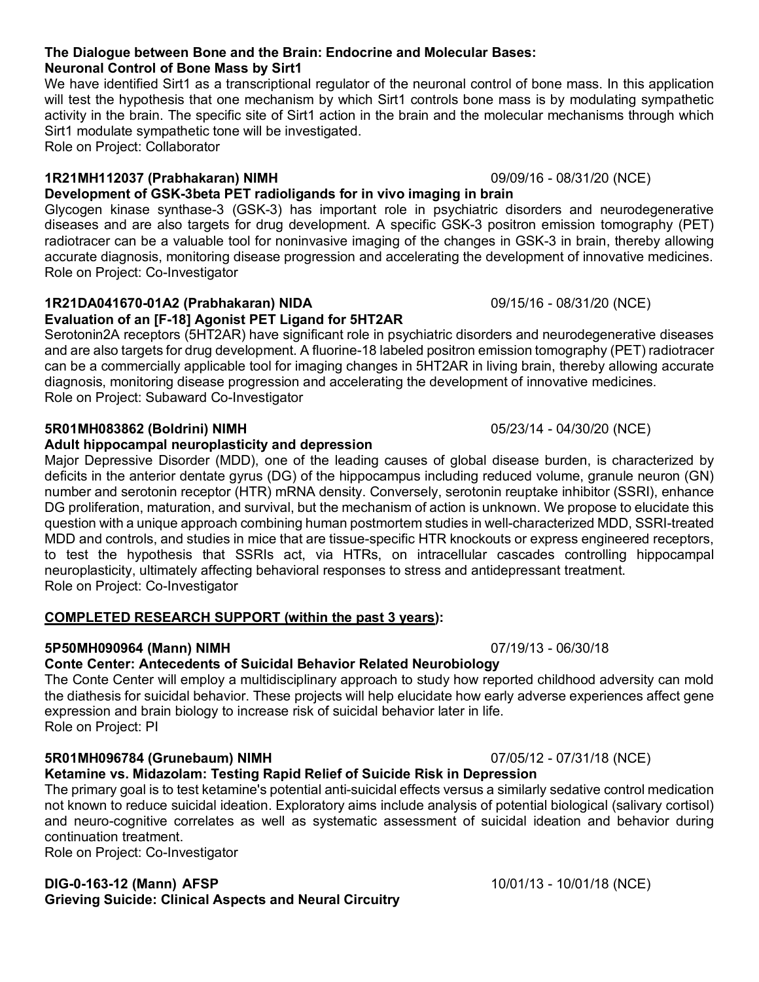### **The Dialogue between Bone and the Brain: Endocrine and Molecular Bases: Neuronal Control of Bone Mass by Sirt1**

We have identified Sirt1 as a transcriptional regulator of the neuronal control of bone mass. In this application will test the hypothesis that one mechanism by which Sirt1 controls bone mass is by modulating sympathetic activity in the brain. The specific site of Sirt1 action in the brain and the molecular mechanisms through which Sirt1 modulate sympathetic tone will be investigated. Role on Project: Collaborator

## **1R21MH112037 (Prabhakaran) NIMH** 09/09/16 - 08/31/20 (NCE)

# **Development of GSK-3beta PET radioligands for in vivo imaging in brain**

Glycogen kinase synthase-3 (GSK-3) has important role in psychiatric disorders and neurodegenerative diseases and are also targets for drug development. A specific GSK-3 positron emission tomography (PET) radiotracer can be a valuable tool for noninvasive imaging of the changes in GSK-3 in brain, thereby allowing accurate diagnosis, monitoring disease progression and accelerating the development of innovative medicines. Role on Project: Co-Investigator

## **1R21DA041670-01A2 (Prabhakaran) NIDA** 09/15/16 - 08/31/20 (NCE) **Evaluation of an [F-18] Agonist PET Ligand for 5HT2AR**

Serotonin2A receptors (5HT2AR) have significant role in psychiatric disorders and neurodegenerative diseases and are also targets for drug development. A fluorine-18 labeled positron emission tomography (PET) radiotracer can be a commercially applicable tool for imaging changes in 5HT2AR in living brain, thereby allowing accurate diagnosis, monitoring disease progression and accelerating the development of innovative medicines. Role on Project: Subaward Co-Investigator

# **5R01MH083862 (Boldrini) NIMH** 05/23/14 - 04/30/20 (NCE)

# **Adult hippocampal neuroplasticity and depression**

Major Depressive Disorder (MDD), one of the leading causes of global disease burden, is characterized by deficits in the anterior dentate gyrus (DG) of the hippocampus including reduced volume, granule neuron (GN) number and serotonin receptor (HTR) mRNA density. Conversely, serotonin reuptake inhibitor (SSRI), enhance DG proliferation, maturation, and survival, but the mechanism of action is unknown. We propose to elucidate this question with a unique approach combining human postmortem studies in well-characterized MDD, SSRI-treated MDD and controls, and studies in mice that are tissue-specific HTR knockouts or express engineered receptors, to test the hypothesis that SSRIs act, via HTRs, on intracellular cascades controlling hippocampal neuroplasticity, ultimately affecting behavioral responses to stress and antidepressant treatment. Role on Project: Co-Investigator

# **COMPLETED RESEARCH SUPPORT (within the past 3 years):**

# **5P50MH090964 (Mann) NIMH** 07/19/13 - 06/30/18

# **Conte Center: Antecedents of Suicidal Behavior Related Neurobiology**

The Conte Center will employ a multidisciplinary approach to study how reported childhood adversity can mold the diathesis for suicidal behavior. These projects will help elucidate how early adverse experiences affect gene expression and brain biology to increase risk of suicidal behavior later in life. Role on Project: PI

# **5R01MH096784 (Grunebaum) NIMH** 07/05/12 - 07/31/18 (NCE)

# **Ketamine vs. Midazolam: Testing Rapid Relief of Suicide Risk in Depression**

The primary goal is to test ketamine's potential anti-suicidal effects versus a similarly sedative control medication not known to reduce suicidal ideation. Exploratory aims include analysis of potential biological (salivary cortisol) and neuro-cognitive correlates as well as systematic assessment of suicidal ideation and behavior during continuation treatment.

Role on Project: Co-Investigator

## **DIG-0-163-12 (Mann) AFSP** 10/01/13 - 10/01/18 (NCE) **Grieving Suicide: Clinical Aspects and Neural Circuitry**